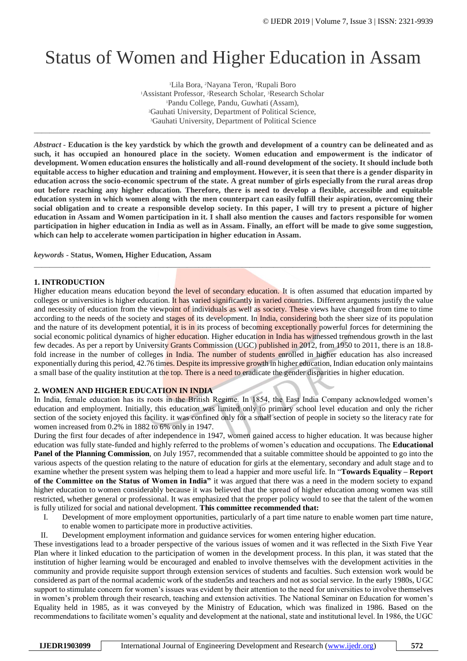# Status of Women and Higher Education in Assam

Lila Bora, <sup>2</sup>Nayana Teron, <sup>3</sup>Rupali Boro Assistant Professor, <sup>2</sup>Research Scholar, <sup>3</sup>Research Scholar Pandu College, Pandu, Guwhati (Assam), Gauhati University, Department of Political Science, Gauhati University, Department of Political Science

\_\_\_\_\_\_\_\_\_\_\_\_\_\_\_\_\_\_\_\_\_\_\_\_\_\_\_\_\_\_\_\_\_\_\_\_\_\_\_\_\_\_\_\_\_\_\_\_\_\_\_\_\_\_\_\_\_\_\_\_\_\_\_\_\_\_\_\_\_\_\_\_\_\_\_\_\_\_\_\_\_\_\_\_\_\_\_\_\_\_\_\_\_\_\_\_\_\_\_\_\_

*Abstract* **- Education is the key yardstick by which the growth and development of a country can be delineated and as such, it has occupied an honoured place in the society. Women education and empowerment is the indicator of development. Women education ensures the holistically and all-round development of the society. It should include both equitable access to higher education and training and employment. However, it is seen that there is a gender disparity in education across the socio-economic spectrum of the state. A great number of girls especially from the rural areas drop out before reaching any higher education. Therefore, there is need to develop a flexible, accessible and equitable education system in which women along with the men counterpart can easily fulfill their aspiration, overcoming their social obligation and to create a responsible develop society. In this paper, I will try to present a picture of higher education in Assam and Women participation in it. I shall also mention the causes and factors responsible for women participation in higher education in India as well as in Assam. Finally, an effort will be made to give some suggestion, which can help to accelerate women participation in higher education in Assam.**

*keywords* **- Status, Women, Higher Education, Assam**

## **1. INTRODUCTION**

Higher education means education beyond the level of secondary education. It is often assumed that education imparted by colleges or universities is higher education. It has varied significantly in varied countries. Different arguments justify the value and necessity of education from the viewpoint of individuals as well as society. These views have changed from time to time according to the needs of the society and stages of its development. In India, considering both the sheer size of its population and the nature of its development potential, it is in its process of becoming exceptionally powerful forces for determining the social economic political dynamics of higher education. Higher education in India has witnessed tremendous growth in the last few decades. As per a report by University Grants Commission (UGC) published in 2012, from 1950 to 2011, there is an 18.8fold increase in the number of colleges in India. The number of students enrolled in higher education has also increased exponentially during this period, 42.76 times. Despite its impressive growth in higher education, Indian education only maintains a small base of the quality institution at the top. There is a need to eradicate the gender disparities in higher education.

*\_\_\_\_\_\_\_\_\_\_\_\_\_\_\_\_\_\_\_\_\_\_\_\_\_\_\_\_\_\_\_\_\_\_\_\_\_\_\_\_\_\_\_\_\_\_\_\_\_\_\_\_\_\_\_\_\_\_\_\_\_\_\_\_\_\_\_\_\_\_\_\_\_\_\_\_\_\_\_\_\_\_\_\_\_\_\_\_\_\_\_\_\_\_\_\_\_\_\_\_\_*

#### **2. WOMEN AND HIGHER EDUCATION IN INDIA**

In India, female education has its roots in the British Regime. In 1854, the East India Company acknowledged women's education and employment. Initially, this education was limited only to primary school level education and only the richer section of the society enjoyed this facility. it was confined only for a small section of people in society so the literacy rate for women increased from 0.2% in 1882 to 6% only in 1947.

During the first four decades of after independence in 1947, women gained access to higher education. It was because higher education was fully state-funded and highly referred to the problems of women's education and occupations. The **Educational Panel of the Planning Commission**, on July 1957, recommended that a suitable committee should be appointed to go into the various aspects of the question relating to the nature of education for girls at the elementary, secondary and adult stage and to examine whether the present system was helping them to lead a happier and more useful life. In "**Towards Equality – Report of the Committee on the Status of Women in India"** it was argued that there was a need in the modern society to expand higher education to women considerably because it was believed that the spread of higher education among women was still restricted, whether general or professional. It was emphasized that the proper policy would to see that the talent of the women is fully utilized for social and national development. **This committee recommended that:** 

- I. Development of more employment opportunities, particularly of a part time nature to enable women part time nature,
	- to enable women to participate more in productive activities.
- II. Development employment information and guidance services for women entering higher education.

These investigations lead to a broader perspective of the various issues of women and it was reflected in the Sixth Five Year Plan where it linked education to the participation of women in the development process. In this plan, it was stated that the institution of higher learning would be encouraged and enabled to involve themselves with the development activities in the community and provide requisite support through extension services of students and faculties. Such extension work would be considered as part of the normal academic work of the studen5ts and teachers and not as social service. In the early 1980s, UGC support to stimulate concern for women's issues was evident by their attention to the need for universities to involve themselves in women's problem through their research, teaching and extension activities. The National Seminar on Education for women's Equality held in 1985, as it was conveyed by the Ministry of Education, which was finalized in 1986. Based on the recommendations to facilitate women's equality and development at the national, state and institutional level. In 1986, the UGC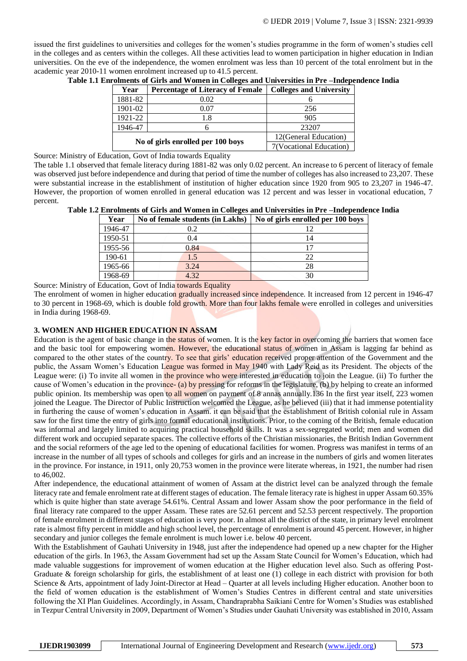issued the first guidelines to universities and colleges for the women's studies programme in the form of women's studies cell in the colleges and as centers within the colleges. All these activities lead to women participation in higher education in Indian universities. On the eve of the independence, the women enrolment was less than 10 percent of the total enrolment but in the academic year 2010-11 women enrolment increased up to 41.5 percent.

| Year                              | <b>Percentage of Literacy of Female</b> | <b>Colleges and University</b> |
|-----------------------------------|-----------------------------------------|--------------------------------|
| 1881-82                           | 0.02                                    |                                |
| 1901-02                           | 0.07                                    | 256                            |
| 1921-22                           | 1.8                                     | 905                            |
| 1946-47                           |                                         | 23207                          |
| No of girls enrolled per 100 boys |                                         | 12(General Education)          |
|                                   |                                         | 7(Vocational Education)        |

**Table 1.1 Enrolments of Girls and Women in Colleges and Universities in Pre –Independence India** 

Source: Ministry of Education, Govt of India towards Equality

The table 1.1 observed that female literacy during 1881-82 was only 0.02 percent. An increase to 6 percent of literacy of female was observed just before independence and during that period of time the number of colleges has also increased to 23,207. These were substantial increase in the establishment of institution of higher education since 1920 from 905 to 23,207 in 1946-47. However, the proportion of women enrolled in general education was 12 percent and was lesser in vocational education, 7 percent.

| Year    | No of female students (in Lakhs) | No of girls enrolled per 100 boys |
|---------|----------------------------------|-----------------------------------|
| 1946-47 | 0.2                              |                                   |
| 1950-51 | 0.4                              | 14                                |
| 1955-56 | 0.84                             | 17                                |
| 190-61  | 1.5                              | 22                                |
| 1965-66 | 3.24                             | 28                                |
| 1968-69 | 4.32                             | 30                                |

Source: Ministry of Education, Govt of India towards Equality

The enrolment of women in higher education gradually increased since independence. It increased from 12 percent in 1946-47 to 30 percent in 1968-69, which is double fold growth. More than four lakhs female were enrolled in colleges and universities in India during 1968-69.

#### **3. WOMEN AND HIGHER EDUCATION IN ASSAM**

Education is the agent of basic change in the status of women. It is the key factor in overcoming the barriers that women face and the basic tool for empowering women. However, the educational status of women in Assam is lagging far behind as compared to the other states of the country. To see that girls' education received proper attention of the Government and the public, the Assam Women's Education League was formed in May 1940 with Lady Reid as its President. The objects of the League were: (i) To invite all women in the province who were interested in education to join the League. (ii) To further the cause of Women's education in the province- (a) by pressing for reforms in the legislature, (b) by helping to create an informed public opinion. Its membership was open to all women on payment of 8 annas annually.136 In the first year itself, 223 women joined the League. The Director of Public Instruction welcomed the League, as he believed (iii) that it had immense potentiality in furthering the cause of women's education in Assam. it can be said that the establishment of British colonial rule in Assam saw for the first time the entry of girls into formal educational institutions. Prior, to the coming of the British, female education was informal and largely limited to acquiring practical household skills. It was a sex-segregated world; men and women did different work and occupied separate spaces. The collective efforts of the Christian missionaries, the British Indian Government and the social reformers of the age led to the opening of educational facilities for women. Progress was manifest in terms of an increase in the number of all types of schools and colleges for girls and an increase in the numbers of girls and women literates in the province. For instance, in 1911, only 20,753 women in the province were literate whereas, in 1921, the number had risen to 46,002.

After independence, the educational attainment of women of Assam at the district level can be analyzed through the female literacy rate and female enrolment rate at different stages of education. The female literacy rate is highest in upper Assam 60.35% which is quite higher than state average 54.61%. Central Assam and lower Assam show the poor performance in the field of final literacy rate compared to the upper Assam. These rates are 52.61 percent and 52.53 percent respectively. The proportion of female enrolment in different stages of education is very poor. In almost all the district of the state, in primary level enrolment rate is almost fifty percent in middle and high school level, the percentage of enrolment is around 45 percent. However, in higher secondary and junior colleges the female enrolment is much lower i.e. below 40 percent.

With the Establishment of Gauhati University in 1948, just after the independence had opened up a new chapter for the Higher education of the girls. In 1963, the Assam Government had set up the Assam State Council for Women's Education, which had made valuable suggestions for improvement of women education at the Higher education level also. Such as offering Post-Graduate & foreign scholarship for girls, the establishment of at least one (1) college in each district with provision for both Science & Arts, appointment of lady Joint-Director at Head – Quarter at all levels including Higher education. Another boon to the field of women education is the establishment of Women's Studies Centres in different central and state universities following the XI Plan Guidelines. Accordingly, in Assam, Chandraprabha Saikiani Centre for Women's Studies was established in Tezpur Central University in 2009, Department of Women's Studies under Gauhati University was established in 2010, Assam